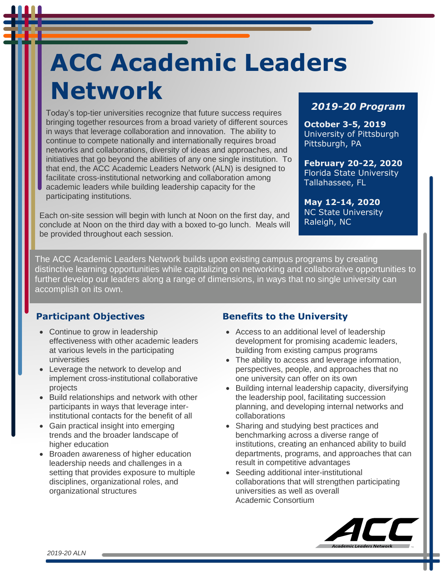# **ACC Academic Leaders Network**

Today's top-tier universities recognize that future success requires bringing together resources from a broad variety of different sources in ways that leverage collaboration and innovation. The ability to continue to compete nationally and internationally requires broad networks and collaborations, diversity of ideas and approaches, and initiatives that go beyond the abilities of any one single institution. To that end, the ACC Academic Leaders Network (ALN) is designed to facilitate cross-institutional networking and collaboration among academic leaders while building leadership capacity for the participating institutions.

Each on-site session will begin with lunch at Noon on the first day, and conclude at Noon on the third day with a boxed to-go lunch. Meals will be provided throughout each session.

#### *2019-20 Program*

**October 3-5, 2019** University of Pittsburgh Pittsburgh, PA

**February 20-22, 2020** Florida State University Tallahassee, FL

**May 12-14, 2020** NC State University Raleigh, NC

The ACC Academic Leaders Network builds upon existing campus programs by creating distinctive learning opportunities while capitalizing on networking and collaborative opportunities to further develop our leaders along a range of dimensions, in ways that no single university can accomplish on its own.

#### **Participant Objectives**

- Continue to grow in leadership effectiveness with other academic leaders at various levels in the participating universities
- Leverage the network to develop and implement cross-institutional collaborative projects
- Build relationships and network with other participants in ways that leverage interinstitutional contacts for the benefit of all
- Gain practical insight into emerging trends and the broader landscape of higher education
- Broaden awareness of higher education leadership needs and challenges in a setting that provides exposure to multiple disciplines, organizational roles, and organizational structures

#### **Benefits to the University**

- Access to an additional level of leadership development for promising academic leaders, building from existing campus programs
- The ability to access and leverage information, perspectives, people, and approaches that no one university can offer on its own
- Building internal leadership capacity, diversifying the leadership pool, facilitating succession planning, and developing internal networks and collaborations
- Sharing and studying best practices and benchmarking across a diverse range of institutions, creating an enhanced ability to build departments, programs, and approaches that can result in competitive advantages
- Seeding additional inter-institutional collaborations that will strengthen participating universities as well as overall Academic Consortium

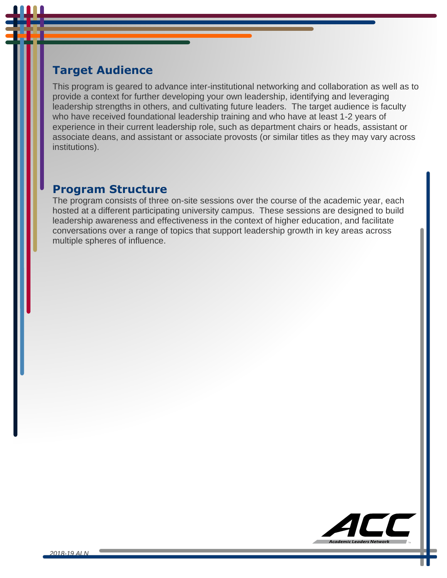## **Target Audience**

This program is geared to advance inter-institutional networking and collaboration as well as to provide a context for further developing your own leadership, identifying and leveraging leadership strengths in others, and cultivating future leaders. The target audience is faculty who have received foundational leadership training and who have at least 1-2 years of experience in their current leadership role, such as department chairs or heads, assistant or associate deans, and assistant or associate provosts (or similar titles as they may vary across institutions).

### **Program Structure**

The program consists of three on-site sessions over the course of the academic year, each hosted at a different participating university campus. These sessions are designed to build leadership awareness and effectiveness in the context of higher education, and facilitate conversations over a range of topics that support leadership growth in key areas across multiple spheres of influence.